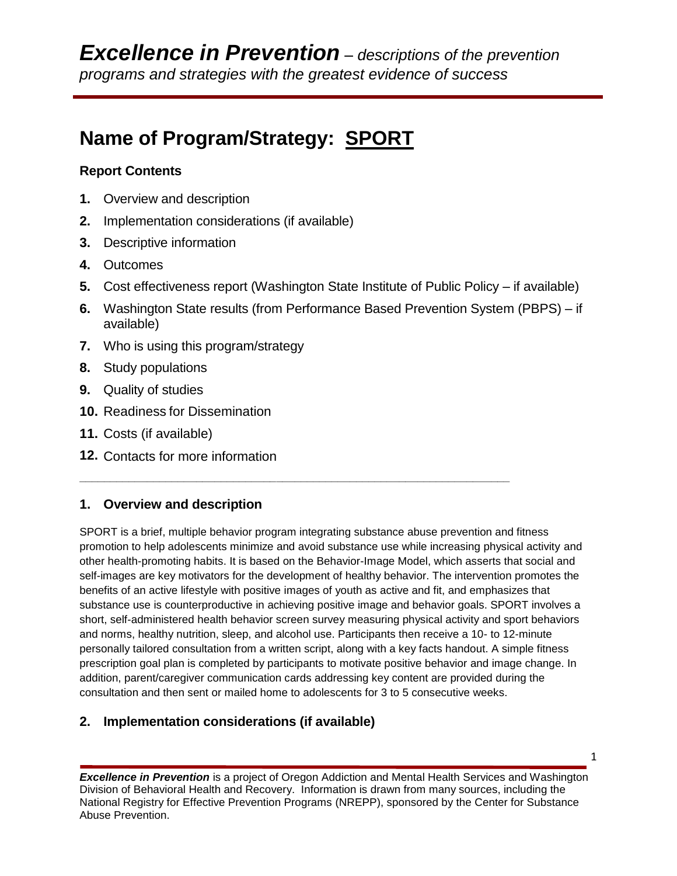# **Name of Program/Strategy: SPORT**

## **Report Contents**

- **1.** Overview and description
- **2.** Implementation considerations (if available)
- **3.** Descriptive information
- **4.** Outcomes
- **5.** Cost effectiveness report (Washington State Institute of Public Policy if available)
- **6.** Washington State results (from Performance Based Prevention System (PBPS) if available)
- **7.** Who is using this program/strategy
- **8.** Study populations
- **9.** Quality of studies
- **10.** Readiness for Dissemination
- **11.** Costs (if available)
- **12.** Contacts for more information

# **1. Overview and description**

SPORT is a brief, multiple behavior program integrating substance abuse prevention and fitness promotion to help adolescents minimize and avoid substance use while increasing physical activity and other health-promoting habits. It is based on the Behavior-Image Model, which asserts that social and self-images are key motivators for the development of healthy behavior. The intervention promotes the benefits of an active lifestyle with positive images of youth as active and fit, and emphasizes that substance use is counterproductive in achieving positive image and behavior goals. SPORT involves a short, self-administered health behavior screen survey measuring physical activity and sport behaviors and norms, healthy nutrition, sleep, and alcohol use. Participants then receive a 10- to 12-minute personally tailored consultation from a written script, along with a key facts handout. A simple fitness prescription goal plan is completed by participants to motivate positive behavior and image change. In addition, parent/caregiver communication cards addressing key content are provided during the consultation and then sent or mailed home to adolescents for 3 to 5 consecutive weeks.

**\_\_\_\_\_\_\_\_\_\_\_\_\_\_\_\_\_\_\_\_\_\_\_\_\_\_\_\_\_\_\_\_\_\_\_\_\_\_\_\_\_\_\_\_\_\_\_\_\_\_\_\_\_\_\_\_\_\_\_\_\_\_\_\_\_\_\_\_\_\_**

# **2. Implementation considerations (if available)**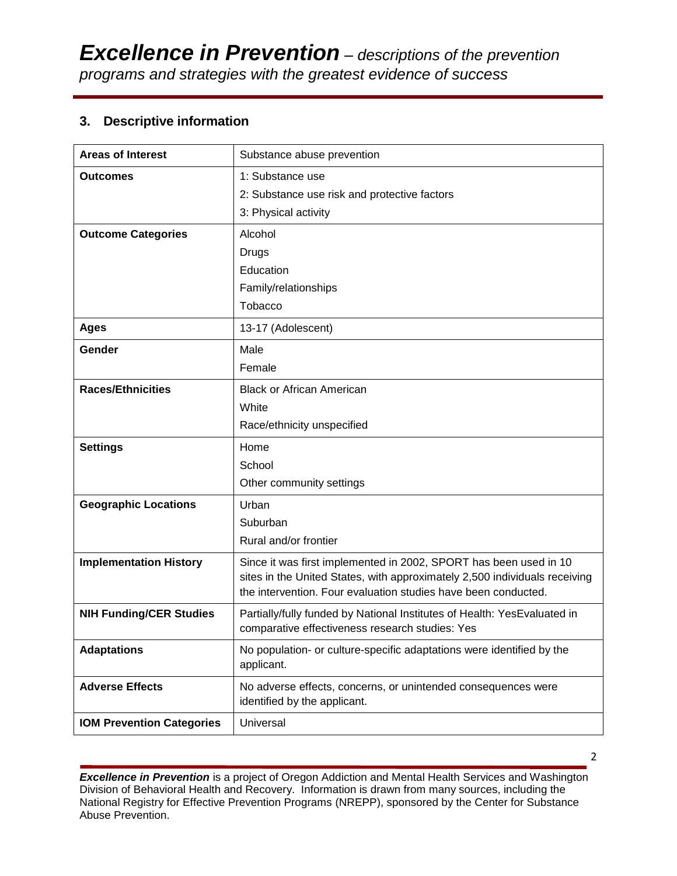## **3. Descriptive information**

| <b>Areas of Interest</b>         | Substance abuse prevention                                                                                                                      |
|----------------------------------|-------------------------------------------------------------------------------------------------------------------------------------------------|
| <b>Outcomes</b>                  | 1: Substance use                                                                                                                                |
|                                  | 2: Substance use risk and protective factors                                                                                                    |
|                                  | 3: Physical activity                                                                                                                            |
| <b>Outcome Categories</b>        | Alcohol                                                                                                                                         |
|                                  | Drugs                                                                                                                                           |
|                                  | Education                                                                                                                                       |
|                                  | Family/relationships                                                                                                                            |
|                                  | Tobacco                                                                                                                                         |
| <b>Ages</b>                      | 13-17 (Adolescent)                                                                                                                              |
| Gender                           | Male                                                                                                                                            |
|                                  | Female                                                                                                                                          |
| <b>Races/Ethnicities</b>         | <b>Black or African American</b>                                                                                                                |
|                                  | White                                                                                                                                           |
|                                  | Race/ethnicity unspecified                                                                                                                      |
| <b>Settings</b>                  | Home                                                                                                                                            |
|                                  | School                                                                                                                                          |
|                                  | Other community settings                                                                                                                        |
| <b>Geographic Locations</b>      | Urban                                                                                                                                           |
|                                  | Suburban                                                                                                                                        |
|                                  | Rural and/or frontier                                                                                                                           |
| <b>Implementation History</b>    | Since it was first implemented in 2002, SPORT has been used in 10<br>sites in the United States, with approximately 2,500 individuals receiving |
|                                  | the intervention. Four evaluation studies have been conducted.                                                                                  |
| <b>NIH Funding/CER Studies</b>   | Partially/fully funded by National Institutes of Health: YesEvaluated in<br>comparative effectiveness research studies: Yes                     |
| <b>Adaptations</b>               | No population- or culture-specific adaptations were identified by the<br>applicant.                                                             |
| <b>Adverse Effects</b>           | No adverse effects, concerns, or unintended consequences were<br>identified by the applicant.                                                   |
| <b>IOM Prevention Categories</b> | Universal                                                                                                                                       |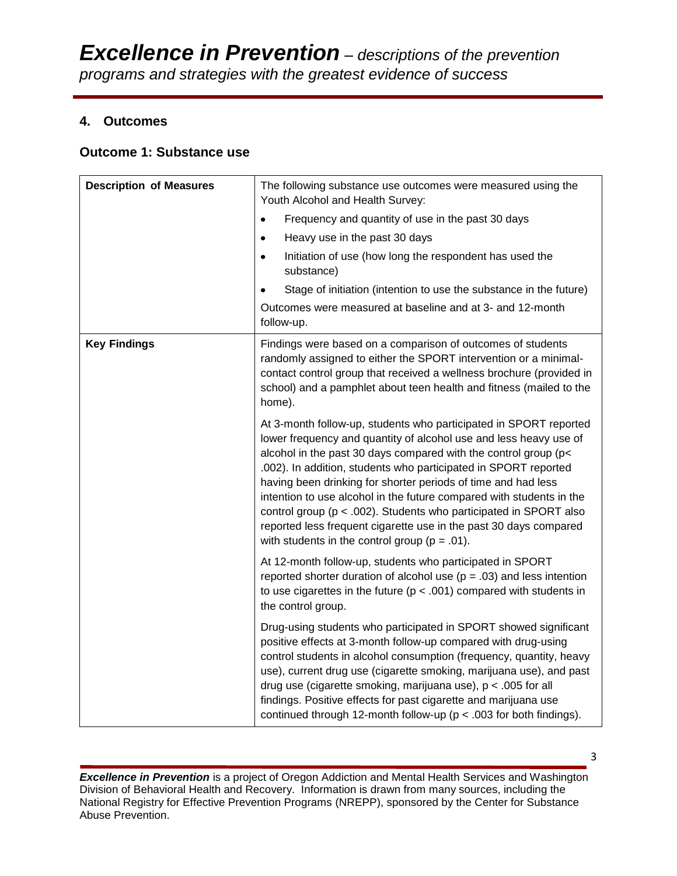## **4. Outcomes**

## **Outcome 1: Substance use**

| <b>Description of Measures</b> | The following substance use outcomes were measured using the<br>Youth Alcohol and Health Survey:                                                                                                                                                                                                                                                                                                                                                                                                                                                                                                                         |  |
|--------------------------------|--------------------------------------------------------------------------------------------------------------------------------------------------------------------------------------------------------------------------------------------------------------------------------------------------------------------------------------------------------------------------------------------------------------------------------------------------------------------------------------------------------------------------------------------------------------------------------------------------------------------------|--|
|                                | Frequency and quantity of use in the past 30 days<br>$\bullet$                                                                                                                                                                                                                                                                                                                                                                                                                                                                                                                                                           |  |
|                                | Heavy use in the past 30 days<br>$\bullet$                                                                                                                                                                                                                                                                                                                                                                                                                                                                                                                                                                               |  |
|                                | Initiation of use (how long the respondent has used the<br>$\bullet$<br>substance)                                                                                                                                                                                                                                                                                                                                                                                                                                                                                                                                       |  |
|                                | Stage of initiation (intention to use the substance in the future)                                                                                                                                                                                                                                                                                                                                                                                                                                                                                                                                                       |  |
|                                | Outcomes were measured at baseline and at 3- and 12-month<br>follow-up.                                                                                                                                                                                                                                                                                                                                                                                                                                                                                                                                                  |  |
| <b>Key Findings</b>            | Findings were based on a comparison of outcomes of students<br>randomly assigned to either the SPORT intervention or a minimal-<br>contact control group that received a wellness brochure (provided in<br>school) and a pamphlet about teen health and fitness (mailed to the<br>home).                                                                                                                                                                                                                                                                                                                                 |  |
|                                | At 3-month follow-up, students who participated in SPORT reported<br>lower frequency and quantity of alcohol use and less heavy use of<br>alcohol in the past 30 days compared with the control group (p<<br>.002). In addition, students who participated in SPORT reported<br>having been drinking for shorter periods of time and had less<br>intention to use alcohol in the future compared with students in the<br>control group ( $p < .002$ ). Students who participated in SPORT also<br>reported less frequent cigarette use in the past 30 days compared<br>with students in the control group ( $p = .01$ ). |  |
|                                | At 12-month follow-up, students who participated in SPORT<br>reported shorter duration of alcohol use ( $p = .03$ ) and less intention<br>to use cigarettes in the future ( $p < .001$ ) compared with students in<br>the control group.                                                                                                                                                                                                                                                                                                                                                                                 |  |
|                                | Drug-using students who participated in SPORT showed significant<br>positive effects at 3-month follow-up compared with drug-using<br>control students in alcohol consumption (frequency, quantity, heavy<br>use), current drug use (cigarette smoking, marijuana use), and past<br>drug use (cigarette smoking, marijuana use), $p < .005$ for all<br>findings. Positive effects for past cigarette and marijuana use<br>continued through 12-month follow-up ( $p < .003$ for both findings).                                                                                                                          |  |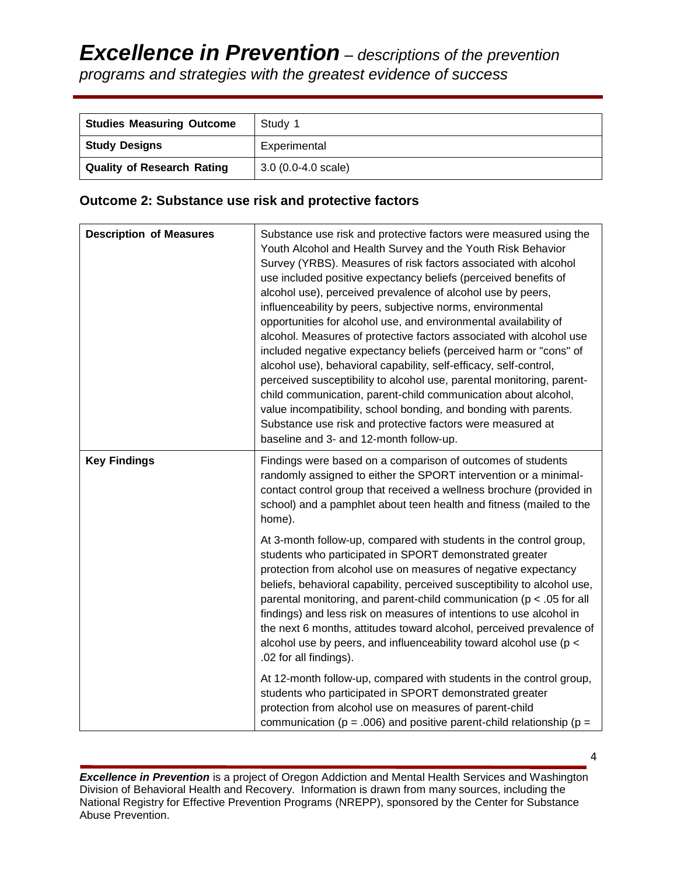| <b>Studies Measuring Outcome</b>  | Study 1                      |
|-----------------------------------|------------------------------|
| <b>Study Designs</b>              | Experimental                 |
| <b>Quality of Research Rating</b> | $3.0(0.0-4.0 \text{ scale})$ |

## **Outcome 2: Substance use risk and protective factors**

| <b>Description of Measures</b> | Substance use risk and protective factors were measured using the<br>Youth Alcohol and Health Survey and the Youth Risk Behavior<br>Survey (YRBS). Measures of risk factors associated with alcohol<br>use included positive expectancy beliefs (perceived benefits of<br>alcohol use), perceived prevalence of alcohol use by peers,<br>influenceability by peers, subjective norms, environmental<br>opportunities for alcohol use, and environmental availability of<br>alcohol. Measures of protective factors associated with alcohol use<br>included negative expectancy beliefs (perceived harm or "cons" of<br>alcohol use), behavioral capability, self-efficacy, self-control,<br>perceived susceptibility to alcohol use, parental monitoring, parent-<br>child communication, parent-child communication about alcohol,<br>value incompatibility, school bonding, and bonding with parents.<br>Substance use risk and protective factors were measured at<br>baseline and 3- and 12-month follow-up. |
|--------------------------------|------------------------------------------------------------------------------------------------------------------------------------------------------------------------------------------------------------------------------------------------------------------------------------------------------------------------------------------------------------------------------------------------------------------------------------------------------------------------------------------------------------------------------------------------------------------------------------------------------------------------------------------------------------------------------------------------------------------------------------------------------------------------------------------------------------------------------------------------------------------------------------------------------------------------------------------------------------------------------------------------------------------|
| <b>Key Findings</b>            | Findings were based on a comparison of outcomes of students<br>randomly assigned to either the SPORT intervention or a minimal-<br>contact control group that received a wellness brochure (provided in<br>school) and a pamphlet about teen health and fitness (mailed to the<br>home).                                                                                                                                                                                                                                                                                                                                                                                                                                                                                                                                                                                                                                                                                                                         |
|                                | At 3-month follow-up, compared with students in the control group,<br>students who participated in SPORT demonstrated greater<br>protection from alcohol use on measures of negative expectancy<br>beliefs, behavioral capability, perceived susceptibility to alcohol use,<br>parental monitoring, and parent-child communication ( $p < .05$ for all<br>findings) and less risk on measures of intentions to use alcohol in<br>the next 6 months, attitudes toward alcohol, perceived prevalence of<br>alcohol use by peers, and influenceability toward alcohol use (p <<br>.02 for all findings).                                                                                                                                                                                                                                                                                                                                                                                                            |
|                                | At 12-month follow-up, compared with students in the control group,<br>students who participated in SPORT demonstrated greater<br>protection from alcohol use on measures of parent-child<br>communication ( $p = .006$ ) and positive parent-child relationship ( $p =$                                                                                                                                                                                                                                                                                                                                                                                                                                                                                                                                                                                                                                                                                                                                         |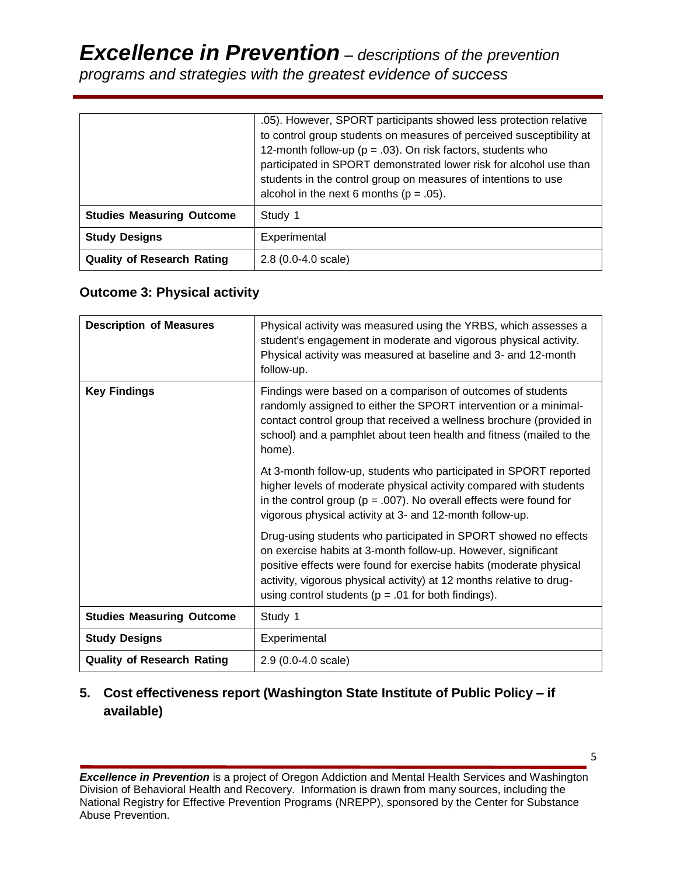# *Excellence in Prevention – descriptions of the prevention programs and strategies with the greatest evidence of success*

|                                   | .05). However, SPORT participants showed less protection relative<br>to control group students on measures of perceived susceptibility at<br>12-month follow-up ( $p = .03$ ). On risk factors, students who<br>participated in SPORT demonstrated lower risk for alcohol use than<br>students in the control group on measures of intentions to use<br>alcohol in the next 6 months ( $p = .05$ ). |
|-----------------------------------|-----------------------------------------------------------------------------------------------------------------------------------------------------------------------------------------------------------------------------------------------------------------------------------------------------------------------------------------------------------------------------------------------------|
| <b>Studies Measuring Outcome</b>  | Study 1                                                                                                                                                                                                                                                                                                                                                                                             |
| <b>Study Designs</b>              | Experimental                                                                                                                                                                                                                                                                                                                                                                                        |
| <b>Quality of Research Rating</b> | $2.8(0.0-4.0 scale)$                                                                                                                                                                                                                                                                                                                                                                                |

## **Outcome 3: Physical activity**

| <b>Description of Measures</b>    | Physical activity was measured using the YRBS, which assesses a<br>student's engagement in moderate and vigorous physical activity.<br>Physical activity was measured at baseline and 3- and 12-month<br>follow-up.                                                                                                                      |  |
|-----------------------------------|------------------------------------------------------------------------------------------------------------------------------------------------------------------------------------------------------------------------------------------------------------------------------------------------------------------------------------------|--|
| <b>Key Findings</b>               | Findings were based on a comparison of outcomes of students<br>randomly assigned to either the SPORT intervention or a minimal-<br>contact control group that received a wellness brochure (provided in<br>school) and a pamphlet about teen health and fitness (mailed to the<br>home).                                                 |  |
|                                   | At 3-month follow-up, students who participated in SPORT reported<br>higher levels of moderate physical activity compared with students<br>in the control group ( $p = .007$ ). No overall effects were found for<br>vigorous physical activity at 3- and 12-month follow-up.                                                            |  |
|                                   | Drug-using students who participated in SPORT showed no effects<br>on exercise habits at 3-month follow-up. However, significant<br>positive effects were found for exercise habits (moderate physical<br>activity, vigorous physical activity) at 12 months relative to drug-<br>using control students ( $p = .01$ for both findings). |  |
| <b>Studies Measuring Outcome</b>  | Study 1                                                                                                                                                                                                                                                                                                                                  |  |
| <b>Study Designs</b>              | Experimental                                                                                                                                                                                                                                                                                                                             |  |
| <b>Quality of Research Rating</b> | $2.9(0.0-4.0 scale)$                                                                                                                                                                                                                                                                                                                     |  |

# **5. Cost effectiveness report (Washington State Institute of Public Policy – if available)**

*Excellence in Prevention* is a project of Oregon Addiction and Mental Health Services and Washington Division of Behavioral Health and Recovery. Information is drawn from many sources, including the National Registry for Effective Prevention Programs (NREPP), sponsored by the Center for Substance Abuse Prevention.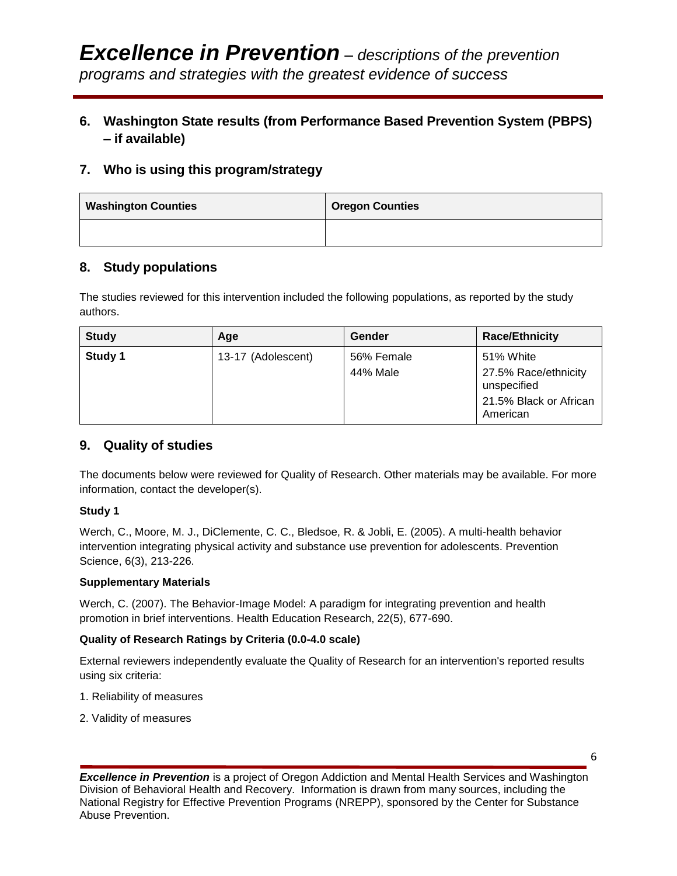# **6. Washington State results (from Performance Based Prevention System (PBPS) – if available)**

## **7. Who is using this program/strategy**

| <b>Washington Counties</b> | <b>Oregon Counties</b> |
|----------------------------|------------------------|
|                            |                        |

## **8. Study populations**

The studies reviewed for this intervention included the following populations, as reported by the study authors.

| <b>Study</b> | Age                | Gender     | <b>Race/Ethnicity</b>               |
|--------------|--------------------|------------|-------------------------------------|
| Study 1      | 13-17 (Adolescent) | 56% Female | 51% White                           |
|              |                    | 44% Male   | 27.5% Race/ethnicity<br>unspecified |
|              |                    |            | 21.5% Black or African<br>American  |

## **9. Quality of studies**

The documents below were reviewed for Quality of Research. Other materials may be available. For more information, contact the developer(s).

#### **Study 1**

Werch, C., Moore, M. J., DiClemente, C. C., Bledsoe, R. & Jobli, E. (2005). A multi-health behavior intervention integrating physical activity and substance use prevention for adolescents. Prevention Science, 6(3), 213-226.

#### **Supplementary Materials**

Werch, C. (2007). The Behavior-Image Model: A paradigm for integrating prevention and health promotion in brief interventions. Health Education Research, 22(5), 677-690.

### **Quality of Research Ratings by Criteria (0.0-4.0 scale)**

External reviewers independently evaluate the Quality of Research for an intervention's reported results using six criteria:

- 1. Reliability of measures
- 2. Validity of measures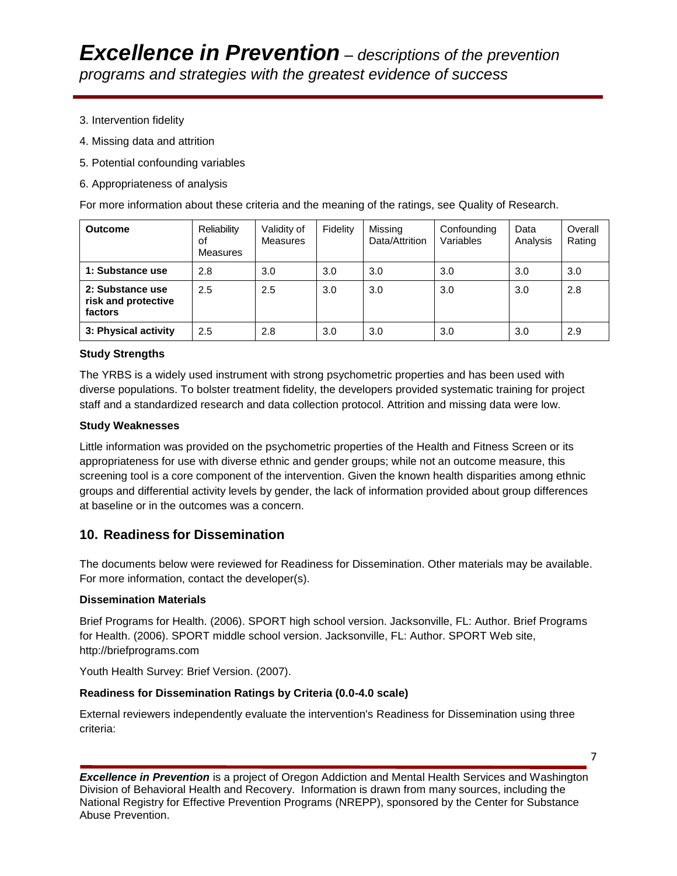- 3. Intervention fidelity
- 4. Missing data and attrition
- 5. Potential confounding variables
- 6. Appropriateness of analysis

For more information about these criteria and the meaning of the ratings, see Quality of Research.

| <b>Outcome</b>                                     | Reliability<br>of<br>Measures | Validity of<br>Measures | Fidelity | Missing<br>Data/Attrition | Confounding<br>Variables | Data<br>Analysis | Overall<br>Rating |
|----------------------------------------------------|-------------------------------|-------------------------|----------|---------------------------|--------------------------|------------------|-------------------|
| 1: Substance use                                   | 2.8                           | 3.0                     | 3.0      | 3.0                       | 3.0                      | 3.0              | 3.0               |
| 2: Substance use<br>risk and protective<br>factors | 2.5                           | 2.5                     | 3.0      | 3.0                       | 3.0                      | 3.0              | 2.8               |
| 3: Physical activity                               | 2.5                           | 2.8                     | 3.0      | 3.0                       | 3.0                      | 3.0              | 2.9               |

#### **Study Strengths**

The YRBS is a widely used instrument with strong psychometric properties and has been used with diverse populations. To bolster treatment fidelity, the developers provided systematic training for project staff and a standardized research and data collection protocol. Attrition and missing data were low.

#### **Study Weaknesses**

Little information was provided on the psychometric properties of the Health and Fitness Screen or its appropriateness for use with diverse ethnic and gender groups; while not an outcome measure, this screening tool is a core component of the intervention. Given the known health disparities among ethnic groups and differential activity levels by gender, the lack of information provided about group differences at baseline or in the outcomes was a concern.

### **10. Readiness for Dissemination**

The documents below were reviewed for Readiness for Dissemination. Other materials may be available. For more information, contact the developer(s).

#### **Dissemination Materials**

Brief Programs for Health. (2006). SPORT high school version. Jacksonville, FL: Author. Brief Programs for Health. (2006). SPORT middle school version. Jacksonville, FL: Author. SPORT Web site, http://briefprograms.com

Youth Health Survey: Brief Version. (2007).

#### **Readiness for Dissemination Ratings by Criteria (0.0-4.0 scale)**

External reviewers independently evaluate the intervention's Readiness for Dissemination using three criteria: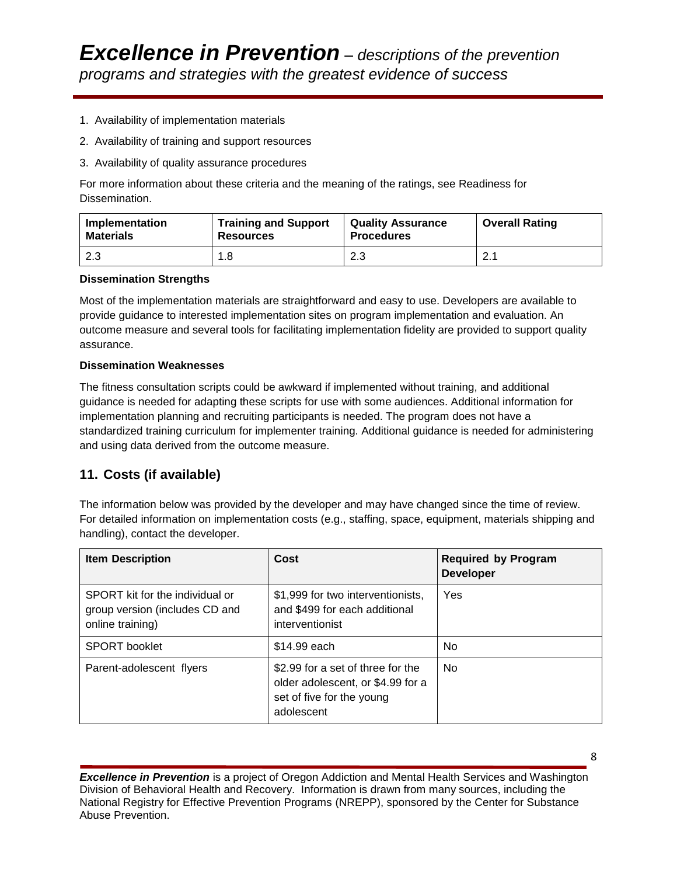- 1. Availability of implementation materials
- 2. Availability of training and support resources
- 3. Availability of quality assurance procedures

For more information about these criteria and the meaning of the ratings, see Readiness for Dissemination.

| Implementation   | <b>Training and Support</b> | <b>Quality Assurance</b> | <b>Overall Rating</b> |
|------------------|-----------------------------|--------------------------|-----------------------|
| <b>Materials</b> | <b>Resources</b>            | <b>Procedures</b>        |                       |
| 2.3              | 1.8                         | 2.3                      | 2.1                   |

#### **Dissemination Strengths**

Most of the implementation materials are straightforward and easy to use. Developers are available to provide guidance to interested implementation sites on program implementation and evaluation. An outcome measure and several tools for facilitating implementation fidelity are provided to support quality assurance.

#### **Dissemination Weaknesses**

The fitness consultation scripts could be awkward if implemented without training, and additional guidance is needed for adapting these scripts for use with some audiences. Additional information for implementation planning and recruiting participants is needed. The program does not have a standardized training curriculum for implementer training. Additional guidance is needed for administering and using data derived from the outcome measure.

## **11. Costs (if available)**

The information below was provided by the developer and may have changed since the time of review. For detailed information on implementation costs (e.g., staffing, space, equipment, materials shipping and handling), contact the developer.

| <b>Item Description</b>                                                               | Cost                                                                                                              | <b>Required by Program</b><br><b>Developer</b> |
|---------------------------------------------------------------------------------------|-------------------------------------------------------------------------------------------------------------------|------------------------------------------------|
| SPORT kit for the individual or<br>group version (includes CD and<br>online training) | \$1,999 for two interventionists,<br>and \$499 for each additional<br>interventionist                             | Yes                                            |
| <b>SPORT</b> booklet                                                                  | \$14.99 each                                                                                                      | No                                             |
| Parent-adolescent flyers                                                              | \$2.99 for a set of three for the<br>older adolescent, or \$4.99 for a<br>set of five for the young<br>adolescent | <b>No</b>                                      |